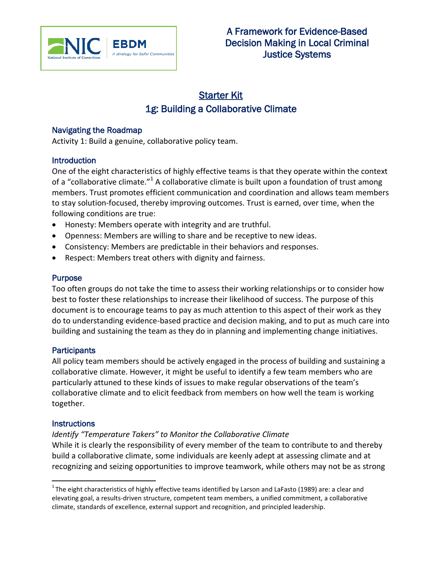

# Starter Kit 1g: Building a Collaborative Climate

# Navigating the Roadmap

Activity 1: Build a genuine, collaborative policy team.

## **Introduction**

One of the eight characteristics of highly effective teams is that they operate within the context of a "collaborative climate."<sup>1</sup> A collaborative climate is built upon a foundation of trust among members. Trust promotes efficient communication and coordination and allows team members to stay solution-focused, thereby improving outcomes. Trust is earned, over time, when the following conditions are true:

- Honesty: Members operate with integrity and are truthful.
- Openness: Members are willing to share and be receptive to new ideas.
- Consistency: Members are predictable in their behaviors and responses.
- Respect: Members treat others with dignity and fairness.

## Purpose

Too often groups do not take the time to assess their working relationships or to consider how best to foster these relationships to increase their likelihood of success. The purpose of this document is to encourage teams to pay as much attention to this aspect of their work as they do to understanding evidence-based practice and decision making, and to put as much care into building and sustaining the team as they do in planning and implementing change initiatives.

#### **Participants**

All policy team members should be actively engaged in the process of building and sustaining a collaborative climate. However, it might be useful to identify a few team members who are particularly attuned to these kinds of issues to make regular observations of the team's collaborative climate and to elicit feedback from members on how well the team is working together.

#### **Instructions**

 $\overline{a}$ 

#### *Identify "Temperature Takers" to Monitor the Collaborative Climate*

While it is clearly the responsibility of every member of the team to contribute to and thereby build a collaborative climate, some individuals are keenly adept at assessing climate and at recognizing and seizing opportunities to improve teamwork, while others may not be as strong

 $^1$ The eight characteristics of highly effective teams identified by Larson and LaFasto (1989) are: a clear and elevating goal, a results-driven structure, competent team members, a unified commitment, a collaborative climate, standards of excellence, external support and recognition, and principled leadership.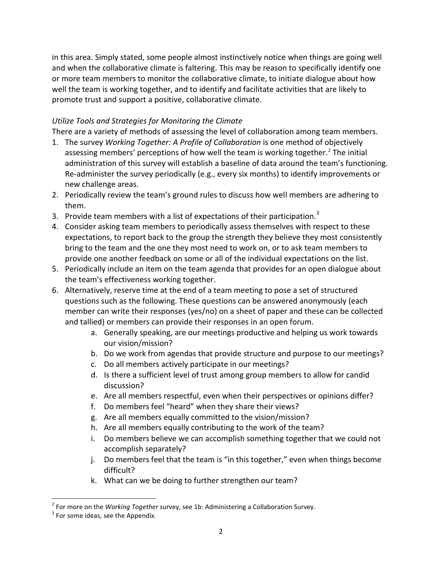in this area. Simply stated, some people almost instinctively notice when things are going well and when the collaborative climate is faltering. This may be reason to specifically identify one or more team members to monitor the collaborative climate, to initiate dialogue about how well the team is working together, and to identify and facilitate activities that are likely to promote trust and support a positive, collaborative climate.

# *Utilize Tools and Strategies for Monitoring the Climate*

There are a variety of methods of assessing the level of collaboration among team members.

- 1. The survey *Working Together: A Profile of Collaboration* is one method of objectively assessing members' perceptions of how well the team is working together.<sup>2</sup> The initial administration of this survey will establish a baseline of data around the team's functioning. Re-administer the survey periodically (e.g., every six months) to identify improvements or new challenge areas.
- 2. Periodically review the team's ground rules to discuss how well members are adhering to them.
- 3. Provide team members with a list of expectations of their participation.<sup>3</sup>
- 4. Consider asking team members to periodically assess themselves with respect to these expectations, to report back to the group the strength they believe they most consistently bring to the team and the one they most need to work on, or to ask team members to provide one another feedback on some or all of the individual expectations on the list.
- 5. Periodically include an item on the team agenda that provides for an open dialogue about the team's effectiveness working together.
- 6. Alternatively, reserve time at the end of a team meeting to pose a set of structured questions such as the following. These questions can be answered anonymously (each member can write their responses (yes/no) on a sheet of paper and these can be collected and tallied) or members can provide their responses in an open forum.
	- a. Generally speaking, are our meetings productive and helping us work towards our vision/mission?
	- b. Do we work from agendas that provide structure and purpose to our meetings?
	- c. Do all members actively participate in our meetings?
	- d. Is there a sufficient level of trust among group members to allow for candid discussion?
	- e. Are all members respectful, even when their perspectives or opinions differ?
	- f. Do members feel "heard" when they share their views?
	- g. Are all members equally committed to the vision/mission?
	- h. Are all members equally contributing to the work of the team?
	- i. Do members believe we can accomplish something together that we could not accomplish separately?
	- j. Do members feel that the team is "in this together," even when things become difficult?
	- k. What can we be doing to further strengthen our team?

l

<sup>2</sup> For more on the *Working Together* survey, see 1b: Administering a Collaboration Survey.

 $3$  For some ideas, see the Appendix.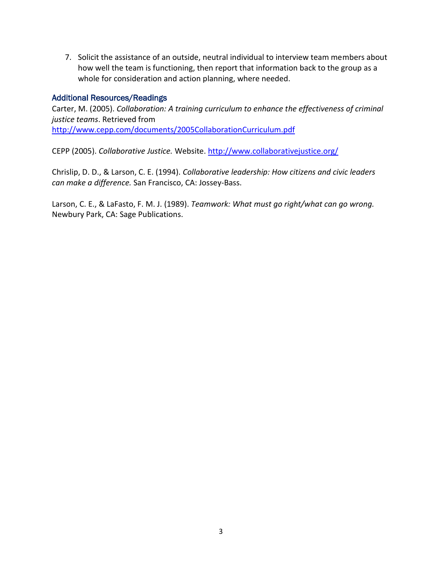7. Solicit the assistance of an outside, neutral individual to interview team members about how well the team is functioning, then report that information back to the group as a whole for consideration and action planning, where needed.

## Additional Resources/Readings

Carter, M. (2005). *Collaboration: A training curriculum to enhance the effectiveness of criminal justice teams*. Retrieved from <http://www.cepp.com/documents/2005CollaborationCurriculum.pdf>

CEPP (2005). *Collaborative Justice.* Website.<http://www.collaborativejustice.org/>

Chrislip, D. D., & Larson, C. E. (1994). *Collaborative leadership: How citizens and civic leaders can make a difference.* San Francisco, CA: Jossey-Bass.

Larson, C. E., & LaFasto, F. M. J. (1989). *Teamwork: What must go right/what can go wrong.* Newbury Park, CA: Sage Publications.